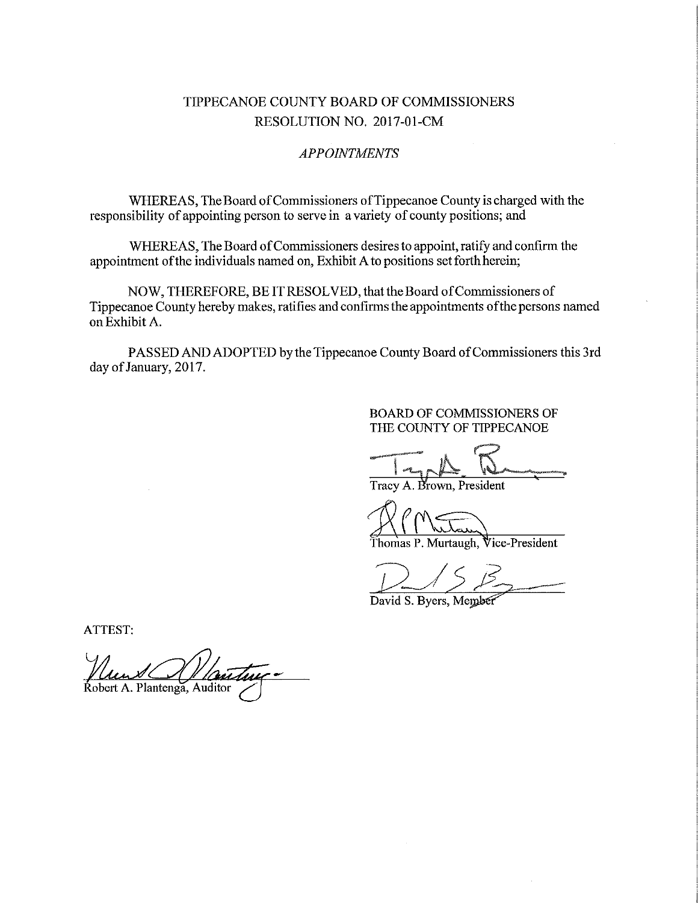# TIPPECANOE COUNTY BOARD OF COMMISSIONERS RESOLUTION NO. 2017-01-CM

#### APPOINTMENTS

WHEREAS, The Board of Commissioners of Tippecanoe County is charged with the responsibility of appointing person to serve in a variety of county positions; and

WHEREAS, The Board of Commissioners desires to appoint, ratify and confirm the appointment of the individuals named on, Exhibit A to positions set forth herein;

NOW, THEREFORE, BE IT RESOLVED, that the Board of Commissioners of Tippecanoe County hereby makes, ratifies and confirms the appointments ofthe persons named on Exhibit A.

PASSED AND ADOPTED by the Tippecanoe County Board of Commissioners this 3rd day of January, 2017.

#### BOARD OF COMMISSIONERS OF THE COUNTY OF TIPPECANOE

www.com/page.org r -v V. Fight and the state of the state of the state of the state of the state of the state of the state of the

Tracy A. Brown, President

homas P. Murtaugh, Vice-President

 $15B$  $B_{2}$ 

David S. Byers, Member

ATTEST:

Robert A. Plantenga, Auditor